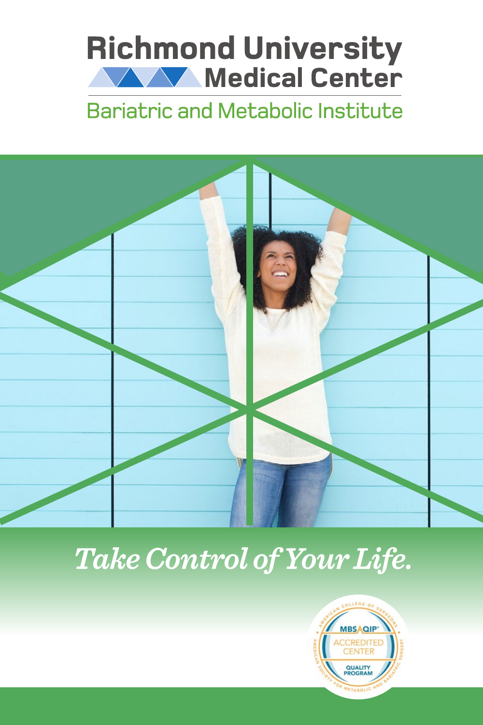# **Richmond University WALK** Medical Center

## **Bariatric and Metabolic Institute**



*Take Control of Your Life.*

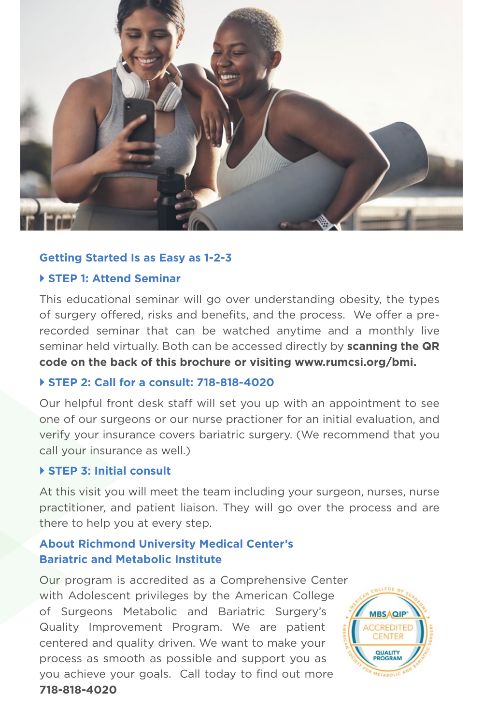

### **Getting Started Is as Easy as 1-2-3**

### **STEP 1: Attend Seminar**

This educational seminar will go over understanding obesity, the types of surgery offered, risks and benefits, and the process. We offer a prerecorded seminar that can be watched anytime and a monthly live seminar held virtually. Both can be accessed directly by **scanning the QR code on the back of this brochure or visiting www.rumcsi.org/bmi.**

### **STEP 2: Call for a consult: 718-818-4020**

Our helpful front desk staff will set you up with an appointment to see one of our surgeons or our nurse practioner for an initial evaluation, and verify your insurance covers bariatric surgery. (We recommend that you call your insurance as well.)

### **STEP 3: Initial consult**

At this visit you will meet the team including your surgeon, nurses, nurse practitioner, and patient liaison. They will go over the process and are there to help you at every step.

### **About Richmond University Medical Center's Bariatric and Metabolic Institute**

Our program is accredited as a Comprehensive Center with Adolescent privileges by the American College of Surgeons Metabolic and Bariatric Surgery's Quality Improvement Program. We are patient centered and quality driven. We want to make your process as smooth as possible and support you as you achieve your goals. Call today to find out more **718-818-4020**

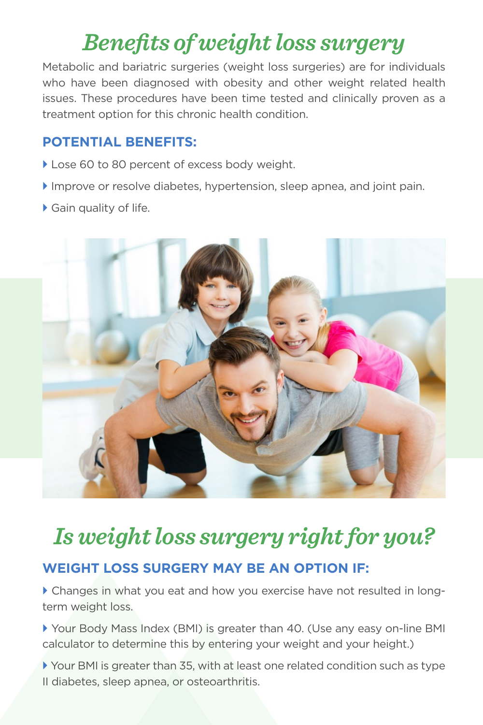## *Benefits of weight loss surgery*

Metabolic and bariatric surgeries (weight loss surgeries) are for individuals who have been diagnosed with obesity and other weight related health issues. These procedures have been time tested and clinically proven as a treatment option for this chronic health condition.

### **POTENTIAL BENEFITS:**

- Lose 60 to 80 percent of excess body weight.
- Improve or resolve diabetes, hypertension, sleep apnea, and joint pain.
- Gain quality of life.



## *Is weight loss surgery right for you?* **WEIGHT LOSS SURGERY MAY BE AN OPTION IF:**

 Changes in what you eat and how you exercise have not resulted in longterm weight loss.

 Your Body Mass Index (BMI) is greater than 40. (Use any easy on-line BMI calculator to determine this by entering your weight and your height.)

 Your BMI is greater than 35, with at least one related condition such as type II diabetes, sleep apnea, or osteoarthritis.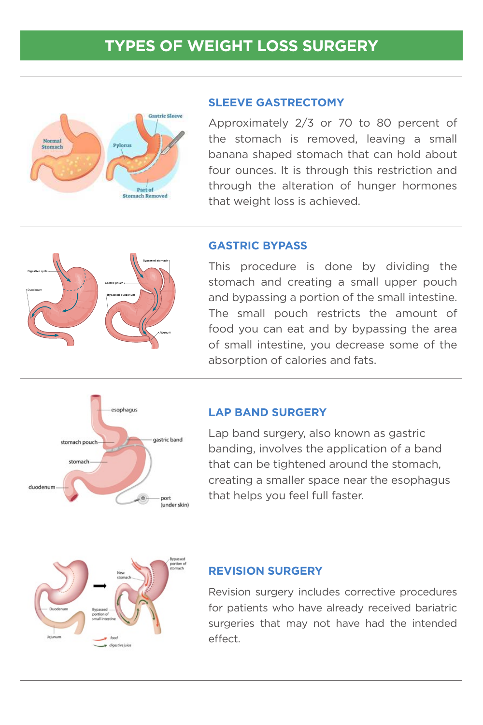### **TYPES OF WEIGHT LOSS SURGERY**



#### **SLEEVE GASTRECTOMY**

Approximately 2/3 or 70 to 80 percent of the stomach is removed, leaving a small banana shaped stomach that can hold about four ounces. It is through this restriction and through the alteration of hunger hormones that weight loss is achieved.



### **GASTRIC BYPASS**

This procedure is done by dividing the stomach and creating a small upper pouch and bypassing a portion of the small intestine. The small pouch restricts the amount of food you can eat and by bypassing the area of small intestine, you decrease some of the absorption of calories and fats.



#### **LAP BAND SURGERY**

Lap band surgery, also known as gastric banding, involves the application of a band that can be tightened around the stomach, creating a smaller space near the esophagus that helps you feel full faster.



#### **REVISION SURGERY**

Revision surgery includes corrective procedures for patients who have already received bariatric surgeries that may not have had the intended effect.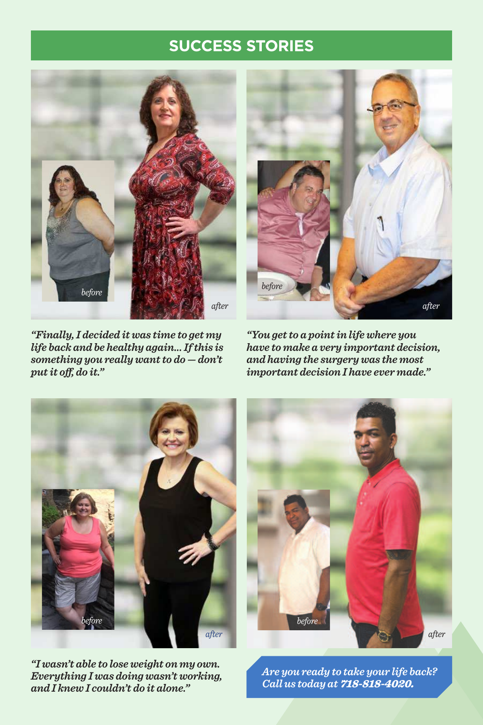### **SUCCESS STORIES**







*"You get to a point in life where you have to make a very important decision, and having the surgery was the most important decision I have ever made."*



*"I wasn't able to lose weight on my own. Everything I was doing wasn't working, and I knew I couldn't do it alone."*



*Are you ready to take your life back? Call us today at* 718-818-4020.